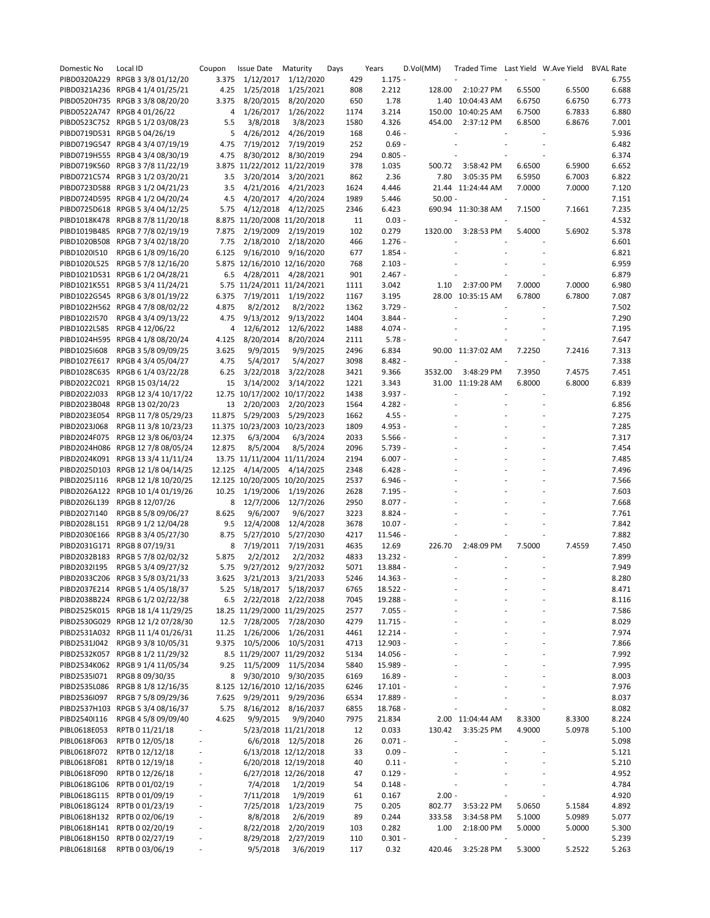| Domestic No  | Local ID                          | Coupon                       | <b>Issue Date</b>            | Maturity             | Days | Years             | D.Vol(MM) |                    |        | Traded Time Last Yield W.Ave Yield BVAL Rate |       |
|--------------|-----------------------------------|------------------------------|------------------------------|----------------------|------|-------------------|-----------|--------------------|--------|----------------------------------------------|-------|
|              | PIBD0320A229 RPGB 3 3/8 01/12/20  | 3.375                        | 1/12/2017                    | 1/12/2020            | 429  | $1.175 -$         |           |                    |        |                                              | 6.755 |
|              | PIBD0321A236 RPGB 4 1/4 01/25/21  | 4.25                         | 1/25/2018                    | 1/25/2021            | 808  | 2.212             | 128.00    | 2:10:27 PM         | 6.5500 | 6.5500                                       | 6.688 |
|              | PIBD0520H735 RPGB 3 3/8 08/20/20  | 3.375                        | 8/20/2015                    | 8/20/2020            | 650  | 1.78              |           | 1.40 10:04:43 AM   | 6.6750 | 6.6750                                       | 6.773 |
|              | PIBD0522A747 RPGB 4 01/26/22      | 4                            | 1/26/2017                    | 1/26/2022            | 1174 | 3.214             |           | 150.00 10:40:25 AM | 6.7500 | 6.7833                                       | 6.880 |
|              | PIBD0523C752 RPGB 5 1/2 03/08/23  | 5.5                          | 3/8/2018                     | 3/8/2023             | 1580 | 4.326             | 454.00    | 2:37:12 PM         | 6.8500 | 6.8676                                       | 7.001 |
|              | PIBD0719D531 RPGB 5 04/26/19      | 5                            | 4/26/2012                    | 4/26/2019            | 168  | $0.46 -$          |           |                    |        |                                              | 5.936 |
|              | PIBD0719G547 RPGB 4 3/4 07/19/19  | 4.75                         | 7/19/2012                    | 7/19/2019            | 252  | $0.69 -$          |           |                    |        |                                              | 6.482 |
|              | PIBD0719H555 RPGB 4 3/4 08/30/19  | 4.75                         | 8/30/2012                    | 8/30/2019            | 294  | $0.805 -$         |           |                    |        |                                              | 6.374 |
|              | PIBD0719K560 RPGB 3 7/8 11/22/19  |                              | 3.875 11/22/2012 11/22/2019  |                      | 378  | 1.035             | 500.72    | 3:58:42 PM         | 6.6500 | 6.5900                                       | 6.652 |
|              | PIBD0721C574 RPGB 3 1/2 03/20/21  | 3.5                          | 3/20/2014                    | 3/20/2021            | 862  | 2.36              | 7.80      | 3:05:35 PM         | 6.5950 | 6.7003                                       | 6.822 |
|              | PIBD0723D588 RPGB 3 1/2 04/21/23  | 3.5                          | 4/21/2016                    | 4/21/2023            | 1624 | 4.446             |           | 21.44 11:24:44 AM  | 7.0000 | 7.0000                                       | 7.120 |
|              | PIBD0724D595 RPGB 4 1/2 04/20/24  | 4.5                          | 4/20/2017                    | 4/20/2024            | 1989 | 5.446             | $50.00 -$ |                    |        |                                              | 7.151 |
|              | PIBD0725D618 RPGB 5 3/4 04/12/25  | 5.75                         | 4/12/2018                    | 4/12/2025            | 2346 | 6.423             |           | 690.94 11:30:38 AM | 7.1500 | 7.1661                                       | 7.235 |
|              | PIBD1018K478 RPGB 87/8 11/20/18   |                              | 8.875 11/20/2008 11/20/2018  |                      | 11   | $0.03 -$          |           |                    |        |                                              | 4.532 |
|              | PIBD1019B485 RPGB 7 7/8 02/19/19  | 7.875                        | 2/19/2009                    | 2/19/2019            | 102  | 0.279             | 1320.00   | 3:28:53 PM         | 5.4000 | 5.6902                                       | 5.378 |
|              | PIBD1020B508 RPGB 7 3/4 02/18/20  | 7.75                         | 2/18/2010                    | 2/18/2020            | 466  | $1.276 -$         |           |                    |        |                                              | 6.601 |
| PIBD1020I510 | RPGB 6 1/8 09/16/20               | 6.125                        | 9/16/2010                    | 9/16/2020            | 677  | $1.854 -$         |           |                    |        |                                              | 6.821 |
|              | PIBD1020L525 RPGB 5 7/8 12/16/20  |                              | 5.875 12/16/2010 12/16/2020  |                      | 768  | $2.103 -$         |           |                    |        |                                              | 6.959 |
|              | PIBD1021D531 RPGB 6 1/2 04/28/21  | 6.5                          | 4/28/2011                    | 4/28/2021            | 901  | $2.467 -$         |           |                    |        |                                              | 6.879 |
|              | PIBD1021K551 RPGB 5 3/4 11/24/21  |                              | 5.75 11/24/2011 11/24/2021   |                      | 1111 | 3.042             | 1.10      | 2:37:00 PM         | 7.0000 | 7.0000                                       | 6.980 |
|              | PIBD1022G545 RPGB 6 3/8 01/19/22  | 6.375                        | 7/19/2011                    | 1/19/2022            | 1167 | 3.195             |           | 28.00 10:35:15 AM  | 6.7800 | 6.7800                                       | 7.087 |
|              | PIBD1022H562 RPGB 4 7/8 08/02/22  | 4.875                        | 8/2/2012                     | 8/2/2022             | 1362 | $3.729 -$         |           |                    |        |                                              | 7.502 |
| PIBD1022I570 | RPGB 4 3/4 09/13/22               | 4.75                         | 9/13/2012                    | 9/13/2022            | 1404 | $3.844 -$         |           |                    |        |                                              | 7.290 |
| PIBD1022L585 | RPGB 4 12/06/22                   | 4                            | 12/6/2012                    | 12/6/2022            | 1488 | $4.074 -$         |           |                    |        |                                              | 7.195 |
|              | PIBD1024H595 RPGB 4 1/8 08/20/24  | 4.125                        | 8/20/2014                    | 8/20/2024            | 2111 | $5.78 -$          |           |                    |        |                                              | 7.647 |
| PIBD10251608 | RPGB 3 5/8 09/09/25               | 3.625                        | 9/9/2015                     | 9/9/2025             | 2496 | 6.834             |           | 90.00 11:37:02 AM  | 7.2250 | 7.2416                                       | 7.313 |
|              | PIBD1027E617 RPGB 4 3/4 05/04/27  | 4.75                         | 5/4/2017                     | 5/4/2027             | 3098 | $8.482 -$         |           |                    |        |                                              | 7.338 |
|              | PIBD1028C635 RPGB 6 1/4 03/22/28  | 6.25                         | 3/22/2018                    | 3/22/2028            | 3421 | 9.366             | 3532.00   | 3:48:29 PM         | 7.3950 | 7.4575                                       | 7.451 |
|              | PIBD2022C021 RPGB 15 03/14/22     | 15                           | 3/14/2002                    | 3/14/2022            | 1221 | 3.343             |           | 31.00 11:19:28 AM  | 6.8000 | 6.8000                                       | 6.839 |
| PIBD2022J033 | RPGB 12 3/4 10/17/22              |                              | 12.75 10/17/2002 10/17/2022  |                      | 1438 | $3.937 -$         |           |                    |        |                                              | 7.192 |
|              | PIBD2023B048 RPGB 13 02/20/23     | 13                           | 2/20/2003                    | 2/20/2023            | 1564 | $4.282 -$         |           |                    |        |                                              | 6.856 |
| PIBD2023E054 | RPGB 11 7/8 05/29/23              | 11.875                       | 5/29/2003                    | 5/29/2023            | 1662 | $4.55 -$          |           |                    |        |                                              | 7.275 |
| PIBD2023J068 | RPGB 11 3/8 10/23/23              |                              | 11.375 10/23/2003 10/23/2023 |                      | 1809 | $4.953 -$         |           |                    |        |                                              | 7.285 |
| PIBD2024F075 | RPGB 12 3/8 06/03/24              | 12.375                       | 6/3/2004                     | 6/3/2024             | 2033 | $5.566 -$         |           |                    |        |                                              | 7.317 |
|              | PIBD2024H086 RPGB 12 7/8 08/05/24 | 12.875                       | 8/5/2004                     | 8/5/2024             | 2096 | $5.739 -$         |           |                    |        |                                              | 7.454 |
|              | PIBD2024K091 RPGB 13 3/4 11/11/24 |                              | 13.75 11/11/2004 11/11/2024  |                      | 2194 | $6.007 -$         |           |                    |        |                                              | 7.485 |
|              | PIBD2025D103 RPGB 12 1/8 04/14/25 | 12.125                       | 4/14/2005                    | 4/14/2025            | 2348 | $6.428 -$         |           |                    |        |                                              | 7.496 |
| PIBD2025J116 | RPGB 12 1/8 10/20/25              |                              | 12.125 10/20/2005 10/20/2025 |                      | 2537 | $6.946 -$         |           |                    |        |                                              | 7.566 |
|              | PIBD2026A122 RPGB 10 1/4 01/19/26 | 10.25                        | 1/19/2006                    | 1/19/2026            | 2628 | $7.195 -$         |           |                    |        |                                              | 7.603 |
| PIBD2026L139 | RPGB 8 12/07/26                   | 8                            | 12/7/2006                    | 12/7/2026            | 2950 | $8.077 -$         |           |                    |        |                                              | 7.668 |
| PIBD2027I140 | RPGB 8 5/8 09/06/27               | 8.625                        | 9/6/2007                     | 9/6/2027             | 3223 | $8.824 -$         |           |                    |        |                                              | 7.761 |
| PIBD2028L151 | RPGB 9 1/2 12/04/28               | 9.5                          | 12/4/2008                    | 12/4/2028            | 3678 | $10.07 -$         |           |                    |        |                                              | 7.842 |
| PIBD2030E166 | RPGB 8 3/4 05/27/30               | 8.75                         | 5/27/2010                    | 5/27/2030            | 4217 | $11.546 -$        |           |                    |        |                                              | 7.882 |
|              | PIBD2031G171 RPGB 8 07/19/31      | 8                            | 7/19/2011                    | 7/19/2031            | 4635 | 12.69             | 226.70    | 2:48:09 PM         | 7.5000 | 7.4559                                       | 7.450 |
|              | PIBD2032B183 RPGB 5 7/8 02/02/32  | 5.875                        | 2/2/2012                     | 2/2/2032             | 4833 | 13.232 -          |           |                    |        |                                              | 7.899 |
| PIBD2032I195 | RPGB 5 3/4 09/27/32               | 5.75                         | 9/27/2012                    | 9/27/2032            | 5071 | 13.884 -          |           |                    |        |                                              | 7.949 |
|              | PIBD2033C206 RPGB 3 5/8 03/21/33  | 3.625                        | 3/21/2013                    | 3/21/2033            | 5246 | 14.363 -          |           |                    |        |                                              | 8.280 |
|              | PIBD2037E214 RPGB 5 1/4 05/18/37  | 5.25                         | 5/18/2017                    | 5/18/2037            | 6765 | 18.522 -          |           |                    |        |                                              | 8.471 |
|              | PIBD2038B224 RPGB 6 1/2 02/22/38  | 6.5                          | 2/22/2018                    | 2/22/2038            | 7045 | 19.288 -          |           |                    |        |                                              | 8.116 |
|              | PIBD2525K015 RPGB 18 1/4 11/29/25 |                              | 18.25 11/29/2000 11/29/2025  |                      | 2577 | $7.055 -$         |           |                    |        |                                              | 7.586 |
|              | PIBD2530G029 RPGB 12 1/2 07/28/30 | 12.5                         | 7/28/2005                    | 7/28/2030            | 4279 | 11.715 -          |           |                    |        |                                              | 8.029 |
|              | PIBD2531A032 RPGB 11 1/4 01/26/31 | 11.25                        | 1/26/2006                    | 1/26/2031            | 4461 | $12.214 -$        |           |                    |        |                                              | 7.974 |
|              | PIBD2531J042 RPGB 9 3/8 10/05/31  | 9.375                        | 10/5/2006                    | 10/5/2031            | 4713 | $12.903 -$        |           |                    |        |                                              | 7.866 |
|              | PIBD2532K057 RPGB 8 1/2 11/29/32  |                              | 8.5 11/29/2007 11/29/2032    |                      | 5134 | 14.056 -          |           |                    |        |                                              | 7.992 |
|              | PIBD2534K062 RPGB 9 1/4 11/05/34  | 9.25                         | 11/5/2009                    | 11/5/2034            | 5840 | 15.989 -          |           |                    |        |                                              | 7.995 |
| PIBD2535I071 | RPGB 8 09/30/35                   | 8                            | 9/30/2010                    | 9/30/2035            | 6169 | $16.89 -$         |           |                    |        |                                              | 8.003 |
| PIBD2535L086 | RPGB 8 1/8 12/16/35               |                              | 8.125 12/16/2010 12/16/2035  |                      | 6246 | $17.101 -$        |           |                    |        |                                              | 7.976 |
| PIBD2536I097 | RPGB 7 5/8 09/29/36               | 7.625                        | 9/29/2011                    | 9/29/2036            | 6534 | 17.889 -          |           |                    |        |                                              | 8.037 |
|              | PIBD2537H103 RPGB 5 3/4 08/16/37  | 5.75                         | 8/16/2012                    | 8/16/2037            | 6855 | 18.768 -          |           |                    |        |                                              | 8.082 |
| PIBD25401116 | RPGB 4 5/8 09/09/40               | 4.625                        | 9/9/2015                     | 9/9/2040             | 7975 | 21.834            |           | 2.00 11:04:44 AM   | 8.3300 | 8.3300                                       | 8.224 |
| PIBL0618E053 | RPTB 0 11/21/18                   | $\qquad \qquad \blacksquare$ |                              | 5/23/2018 11/21/2018 | 12   | 0.033             | 130.42    | 3:35:25 PM         | 4.9000 | 5.0978                                       | 5.100 |
| PIBL0618F063 | RPTB 0 12/05/18                   | $\qquad \qquad \blacksquare$ |                              | 6/6/2018 12/5/2018   | 26   | $0.071 -$         |           |                    |        |                                              | 5.098 |
| PIBL0618F072 | RPTB 0 12/12/18                   |                              |                              | 6/13/2018 12/12/2018 | 33   | $0.09 -$          |           |                    |        |                                              | 5.121 |
| PIBL0618F081 | RPTB 0 12/19/18                   | $\qquad \qquad \blacksquare$ |                              | 6/20/2018 12/19/2018 | 40   | $0.11 -$          |           |                    |        |                                              | 5.210 |
| PIBL0618F090 | RPTB 0 12/26/18                   | $\qquad \qquad \blacksquare$ |                              | 6/27/2018 12/26/2018 | 47   | $0.129 -$         |           |                    |        |                                              | 4.952 |
| PIBL0618G106 | RPTB 0 01/02/19                   | $\qquad \qquad \blacksquare$ | 7/4/2018                     | 1/2/2019             | 54   | $0.148 -$         |           |                    |        |                                              | 4.784 |
| PIBL0618G115 | RPTB 0 01/09/19                   | $\qquad \qquad \blacksquare$ | 7/11/2018                    | 1/9/2019             | 61   | 0.167             | $2.00 -$  |                    |        | ÷,                                           | 4.920 |
| PIBL0618G124 | RPTB 0 01/23/19                   | $\overline{\phantom{a}}$     | 7/25/2018                    | 1/23/2019            | 75   | 0.205             | 802.77    | 3:53:22 PM         | 5.0650 | 5.1584                                       | 4.892 |
| PIBL0618H132 | RPTB 0 02/06/19                   | $\qquad \qquad \blacksquare$ | 8/8/2018                     | 2/6/2019             | 89   | 0.244             | 333.58    | 3:34:58 PM         | 5.1000 | 5.0989                                       | 5.077 |
| PIBL0618H141 | RPTB 0 02/20/19                   |                              | 8/22/2018                    | 2/20/2019            | 103  | 0.282             | 1.00      | 2:18:00 PM         | 5.0000 | 5.0000                                       | 5.300 |
| PIBL0618H150 | RPTB 0 02/27/19                   | $\qquad \qquad \blacksquare$ | 8/29/2018                    | 2/27/2019            | 110  | $0.301 -$<br>0.32 |           |                    |        |                                              | 5.239 |
| PIBL0618I168 | RPTB 0 03/06/19                   |                              | 9/5/2018                     | 3/6/2019             | 117  |                   | 420.46    | 3:25:28 PM         | 5.3000 | 5.2522                                       | 5.263 |